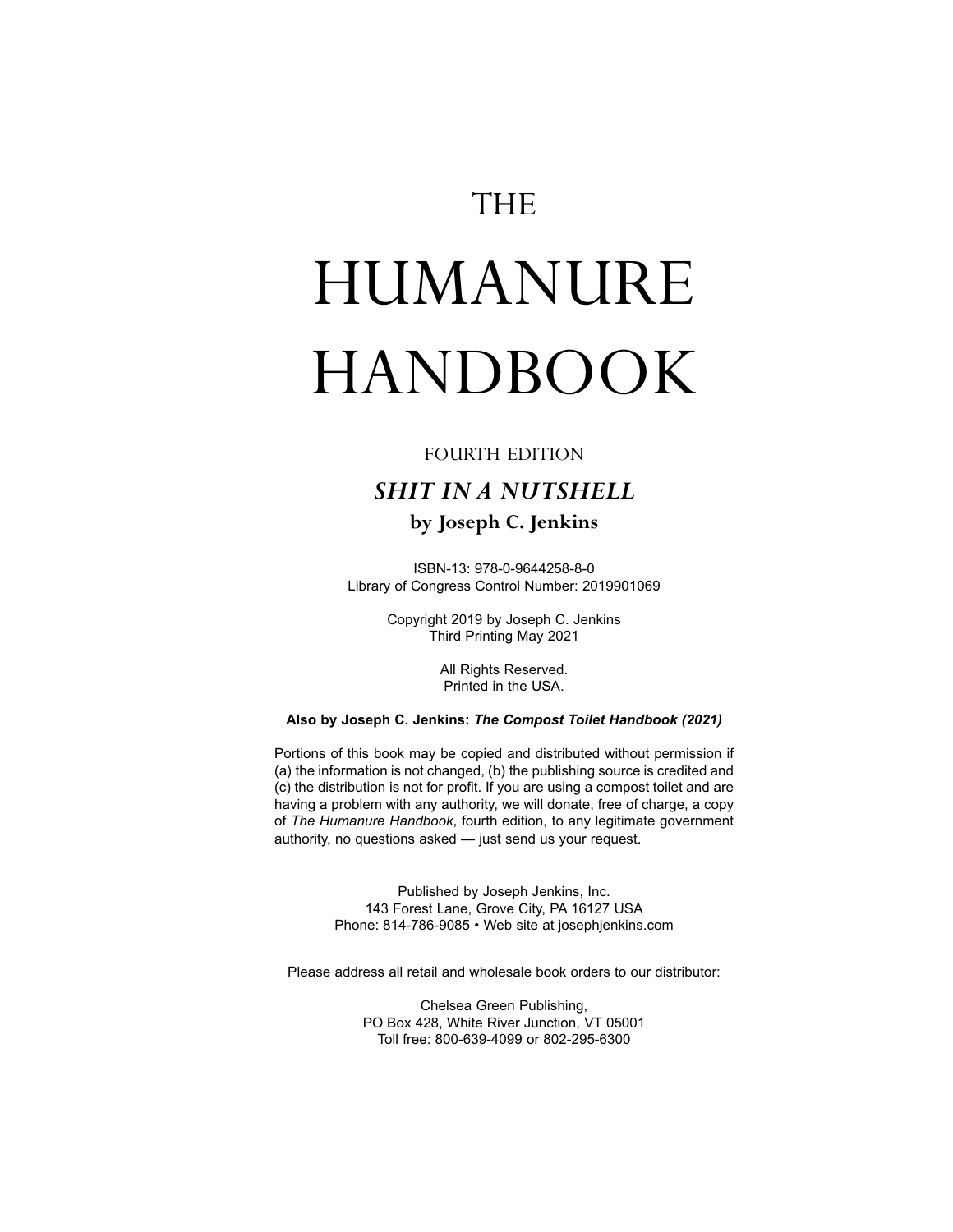# THE

# HUMANURE HANDBOOK

#### FOURTH EDITION

## *SHIT IN A NUTSHELL* **by Joseph C. Jenkins**

ISBN-13: 978-0-9644258-8-0 Library of Congress Control Number: 2019901069

> Copyright 2019 by Joseph C. Jenkins Third Printing May 2021

> > All Rights Reserved. Printed in the USA.

#### **Also by Joseph C. Jenkins:***The Compost Toilet Handbook (2021)*

Portions of this book may be copied and distributed without permission if (a) the information is not changed, (b) the publishing source is credited and (c) the distribution is not for profit. If you are using a compost toilet and are having a problem with any authority, we will donate, free of charge, a copy of *The Humanure Handbook*, fourth edition, to any legitimate government authority, no questions asked — just send us your request.

> Published by Joseph Jenkins, Inc. 143 Forest Lane, Grove City, PA 16127 USA Phone: 814-786-9085 • Web site at josephjenkins.com

Please address all retail and wholesale book orders to our distributor:

Chelsea Green Publishing, PO Box 428, White River Junction, VT 05001 Toll free: 800-639-4099 or 802-295-6300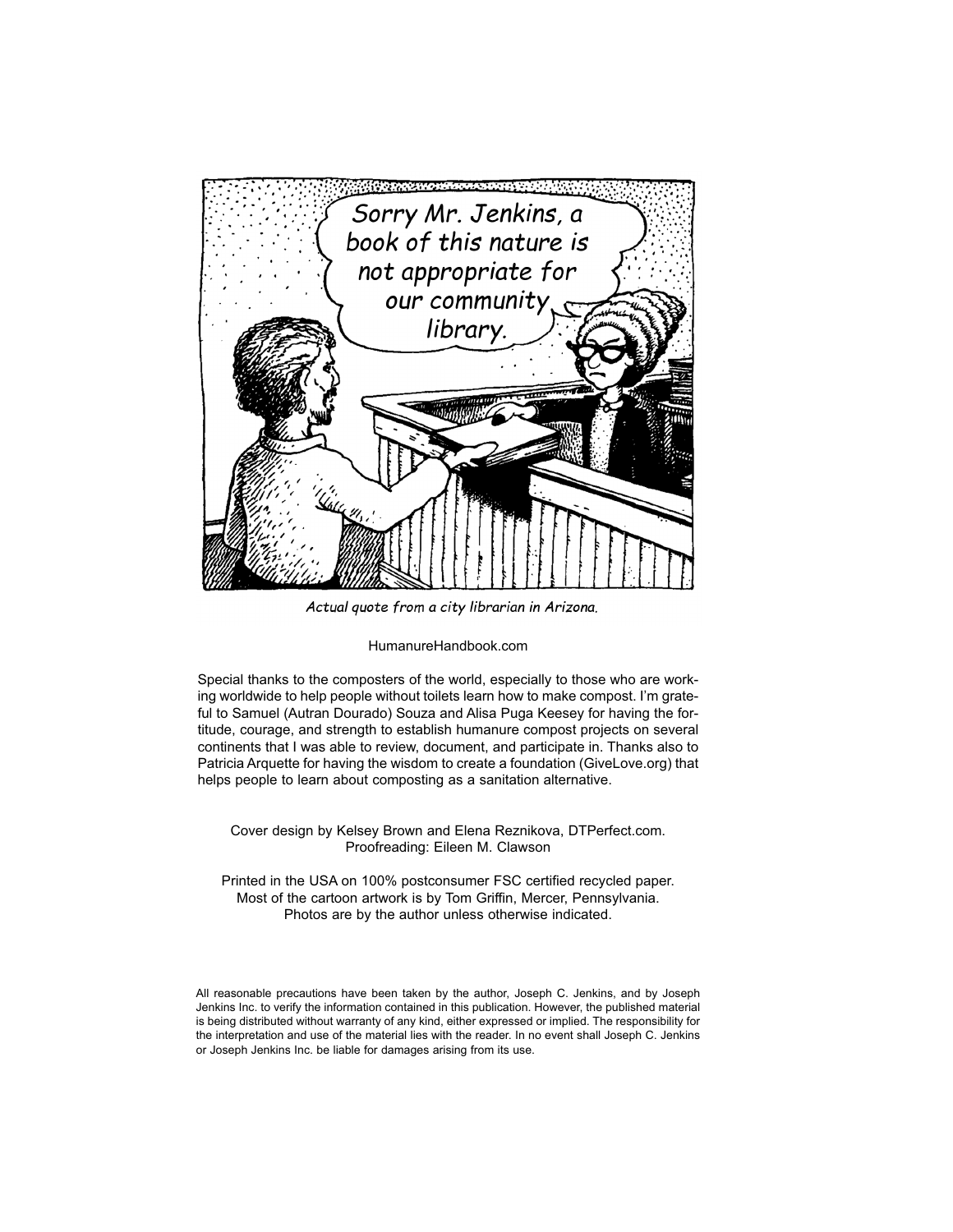

Actual quote from a city librarian in Arizona.

#### HumanureHandbook.com

Special thanks to the composters of the world, especially to those who are working worldwide to help people without toilets learn how to make compost. I'm grateful to Samuel (Autran Dourado) Souza and Alisa Puga Keesey for having the fortitude, courage, and strength to establish humanure compost projects on several continents that I was able to review, document, and participate in. Thanks also to Patricia Arquette for having the wisdom to create a foundation (GiveLove.org) that helps people to learn about composting as a sanitation alternative.

Cover design by Kelsey Brown and Elena Reznikova, DTPerfect.com. Proofreading: Eileen M. Clawson

Printed in the USA on 100% postconsumer FSC certified recycled paper. Most of the cartoon artwork is by Tom Griffin, Mercer, Pennsylvania. Photos are by the author unless otherwise indicated.

All reasonable precautions have been taken by the author, Joseph C. Jenkins, and by Joseph Jenkins Inc. to verify the information contained in this publication. However, the published material is being distributed without warranty of any kind, either expressed or implied. The responsibility for the interpretation and use of the material lies with the reader. In no event shall Joseph C. Jenkins or Joseph Jenkins Inc. be liable for damages arising from its use.